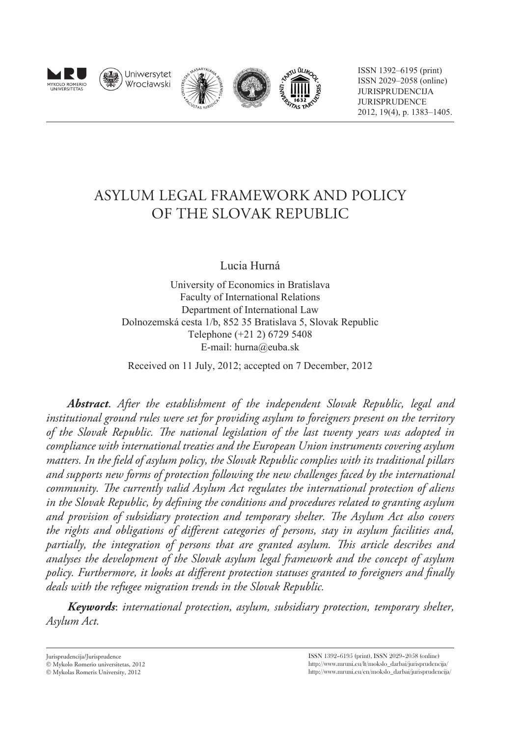







ISSN 1392–6195 (print) ISSN 2029–2058 (online) JURISPRUDENCIJA **JURISPRUDENCE** 2012, 19(4), p. 1383–1405.

# ASYLUM LEGAL FRAMEWORK AND POLICY OF THE SLOVAK REPUBLIC

Lucia Hurná

University of Economics in Bratislava Faculty of International Relations Department of International Law Dolnozemská cesta 1/b, 852 35 Bratislava 5, Slovak Republic Telephone (+21 2) 6729 5408 E-mail: hurna@euba.sk

Received on 11 July, 2012; accepted on 7 December, 2012

*Abstract*. *After the establishment of the independent Slovak Republic, legal and institutional ground rules were set for providing asylum to foreigners present on the territory of the Slovak Republic. The national legislation of the last twenty years was adopted in compliance with international treaties and the European Union instruments covering asylum matters. In the field of asylum policy, the Slovak Republic complies with its traditional pillars and supports new forms of protection following the new challenges faced by the international community. The currently valid Asylum Act regulates the international protection of aliens in the Slovak Republic, by defining the conditions and procedures related to granting asylum and provision of subsidiary protection and temporary shelter. The Asylum Act also covers the rights and obligations of different categories of persons, stay in asylum facilities and, partially, the integration of persons that are granted asylum. This article describes and analyses the development of the Slovak asylum legal framework and the concept of asylum policy. Furthermore, it looks at different protection statuses granted to foreigners and finally deals with the refugee migration trends in the Slovak Republic.*

*Keywords*: *international protection, asylum, subsidiary protection, temporary shelter, Asylum Act.*

Jurisprudencija/Jurisprudence

Mykolo Romerio universitetas, 2012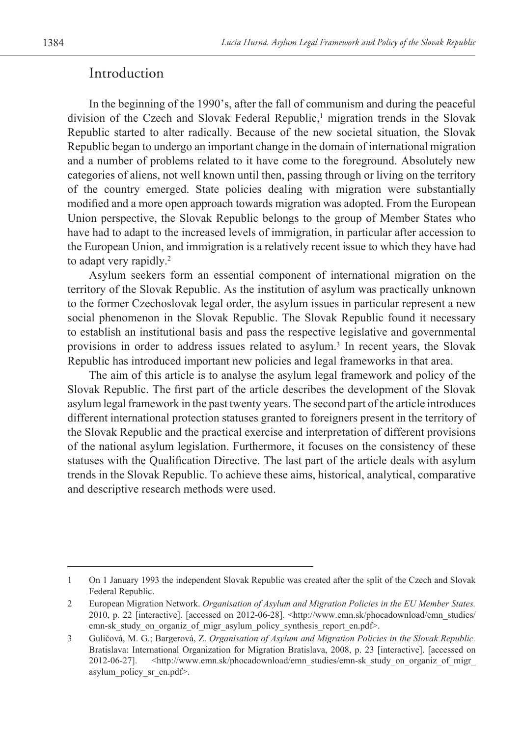## Introduction

In the beginning of the 1990's, after the fall of communism and during the peaceful division of the Czech and Slovak Federal Republic,<sup>1</sup> migration trends in the Slovak Republic started to alter radically. Because of the new societal situation, the Slovak Republic began to undergo an important change in the domain of international migration and a number of problems related to it have come to the foreground. Absolutely new categories of aliens, not well known until then, passing through or living on the territory of the country emerged. State policies dealing with migration were substantially modified and a more open approach towards migration was adopted. From the European Union perspective, the Slovak Republic belongs to the group of Member States who have had to adapt to the increased levels of immigration, in particular after accession to the European Union, and immigration is a relatively recent issue to which they have had to adapt very rapidly.<sup>2</sup>

Asylum seekers form an essential component of international migration on the territory of the Slovak Republic. As the institution of asylum was practically unknown to the former Czechoslovak legal order, the asylum issues in particular represent a new social phenomenon in the Slovak Republic. The Slovak Republic found it necessary to establish an institutional basis and pass the respective legislative and governmental provisions in order to address issues related to asylum.<sup>3</sup> In recent years, the Slovak Republic has introduced important new policies and legal frameworks in that area.

The aim of this article is to analyse the asylum legal framework and policy of the Slovak Republic. The first part of the article describes the development of the Slovak asylum legal framework in the past twenty years. The second part of the article introduces different international protection statuses granted to foreigners present in the territory of the Slovak Republic and the practical exercise and interpretation of different provisions of the national asylum legislation. Furthermore, it focuses on the consistency of these statuses with the Qualification Directive. The last part of the article deals with asylum trends in the Slovak Republic. To achieve these aims, historical, analytical, comparative and descriptive research methods were used.

<sup>1</sup> On 1 January 1993 the independent Slovak Republic was created after the split of the Czech and Slovak Federal Republic.

<sup>2</sup> European Migration Network. *Organisation of Asylum and Migration Policies in the EU Member States.*  2010, p. 22 [interactive]. [accessed on 2012-06-28]. <http://www.emn.sk/phocadownload/emn\_studies/ emn-sk\_study\_on\_organiz\_of\_migr\_asylum\_policy\_synthesis\_report\_en.pdf>.

<sup>3</sup> Guličová, M. G.; Bargerová, Z. *Organisation of Asylum and Migration Policies in the Slovak Republic.*  Bratislava: International Organization for Migration Bratislava, 2008, p. 23 [interactive]. [accessed on 2012-06-27]. <http://www.emn.sk/phocadownload/emn\_studies/emn-sk\_study\_on\_organiz\_of\_migr\_ asylum\_policy\_sr\_en.pdf>.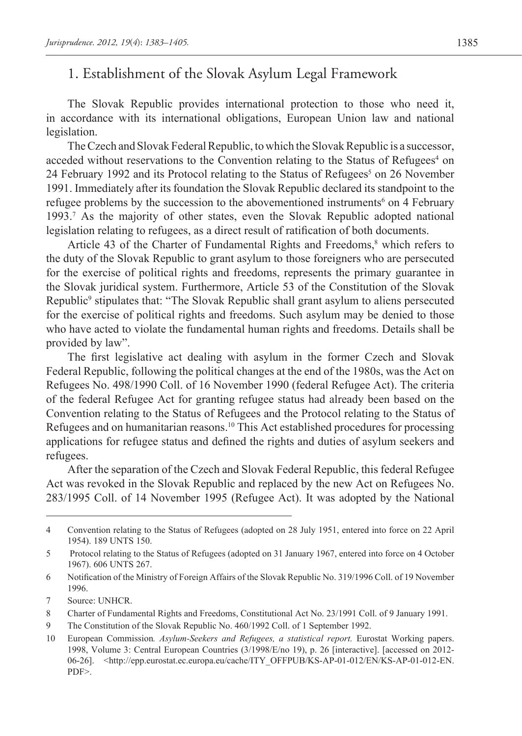## 1. Establishment of the Slovak Asylum Legal Framework

The Slovak Republic provides international protection to those who need it, in accordance with its international obligations, European Union law and national legislation.

The Czech and Slovak Federal Republic, to which the Slovak Republic is a successor, acceded without reservations to the Convention relating to the Status of Refugees<sup>4</sup> on 24 February 1992 and its Protocol relating to the Status of Refugees<sup>5</sup> on 26 November 1991. Immediately after its foundation the Slovak Republic declared its standpoint to the refugee problems by the succession to the abovementioned instruments<sup>6</sup> on 4 February 1993.7 As the majority of other states, even the Slovak Republic adopted national legislation relating to refugees, as a direct result of ratification of both documents.

Article 43 of the Charter of Fundamental Rights and Freedoms,<sup>8</sup> which refers to the duty of the Slovak Republic to grant asylum to those foreigners who are persecuted for the exercise of political rights and freedoms, represents the primary guarantee in the Slovak juridical system. Furthermore, Article 53 of the Constitution of the Slovak Republic<sup>9</sup> stipulates that: "The Slovak Republic shall grant asylum to aliens persecuted for the exercise of political rights and freedoms. Such asylum may be denied to those who have acted to violate the fundamental human rights and freedoms. Details shall be provided by law".

The first legislative act dealing with asylum in the former Czech and Slovak Federal Republic, following the political changes at the end of the 1980s, was the Act on Refugees No. 498/1990 Coll. of 16 November 1990 (federal Refugee Act). The criteria of the federal Refugee Act for granting refugee status had already been based on the Convention relating to the Status of Refugees and the Protocol relating to the Status of Refugees and on humanitarian reasons.10 This Act established procedures for processing applications for refugee status and defined the rights and duties of asylum seekers and refugees.

After the separation of the Czech and Slovak Federal Republic, this federal Refugee Act was revoked in the Slovak Republic and replaced by the new Act on Refugees No. 283/1995 Coll. of 14 November 1995 (Refugee Act). It was adopted by the National

9 The Constitution of the Slovak Republic No. 460/1992 Coll. of 1 September 1992.

<sup>4</sup> Convention relating to the Status of Refugees (adopted on 28 July 1951, entered into force on 22 April 1954). 189 UNTS 150.

<sup>5</sup> Protocol relating to the Status of Refugees (adopted on 31 January 1967, entered into force on 4 October 1967). 606 UNTS 267.

<sup>6</sup> Notification of the Ministry of Foreign Affairs of the Slovak Republic No. 319/1996 Coll. of 19 November 1996.

<sup>7</sup> Source: UNHCR.

<sup>8</sup> Charter of Fundamental Rights and Freedoms, Constitutional Act No. 23/1991 Coll. of 9 January 1991.

<sup>10</sup> European Commission*. Asylum-Seekers and Refugees, a statistical report.* Eurostat Working papers. 1998, Volume 3: Central European Countries (3/1998/E/no 19), p. 26 [interactive]. [accessed on 2012- 06-26]. <http://epp.eurostat.ec.europa.eu/cache/ITY\_OFFPUB/KS-AP-01-012/EN/KS-AP-01-012-EN. PDF>.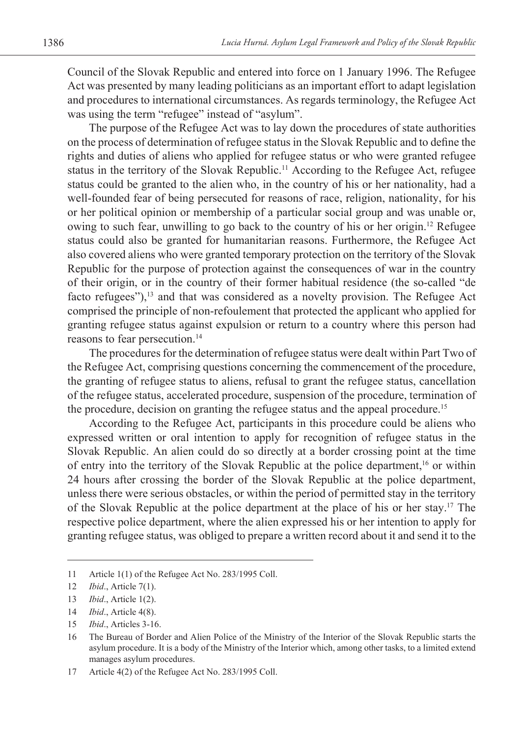Council of the Slovak Republic and entered into force on 1 January 1996. The Refugee Act was presented by many leading politicians as an important effort to adapt legislation and procedures to international circumstances. As regards terminology, the Refugee Act was using the term "refugee" instead of "asylum".

The purpose of the Refugee Act was to lay down the procedures of state authorities on the process of determination of refugee status in the Slovak Republic and to define the rights and duties of aliens who applied for refugee status or who were granted refugee status in the territory of the Slovak Republic.<sup>11</sup> According to the Refugee Act, refugee status could be granted to the alien who, in the country of his or her nationality, had a well-founded fear of being persecuted for reasons of race, religion, nationality, for his or her political opinion or membership of a particular social group and was unable or, owing to such fear, unwilling to go back to the country of his or her origin.<sup>12</sup> Refugee status could also be granted for humanitarian reasons. Furthermore, the Refugee Act also covered aliens who were granted temporary protection on the territory of the Slovak Republic for the purpose of protection against the consequences of war in the country of their origin, or in the country of their former habitual residence (the so-called "de facto refugees"),<sup>13</sup> and that was considered as a novelty provision. The Refugee Act comprised the principle of non-refoulement that protected the applicant who applied for granting refugee status against expulsion or return to a country where this person had reasons to fear persecution.<sup>14</sup>

The procedures for the determination of refugee status were dealt within Part Two of the Refugee Act, comprising questions concerning the commencement of the procedure, the granting of refugee status to aliens, refusal to grant the refugee status, cancellation of the refugee status, accelerated procedure, suspension of the procedure, termination of the procedure, decision on granting the refugee status and the appeal procedure.<sup>15</sup>

According to the Refugee Act, participants in this procedure could be aliens who expressed written or oral intention to apply for recognition of refugee status in the Slovak Republic. An alien could do so directly at a border crossing point at the time of entry into the territory of the Slovak Republic at the police department,16 or within 24 hours after crossing the border of the Slovak Republic at the police department, unless there were serious obstacles, or within the period of permitted stay in the territory of the Slovak Republic at the police department at the place of his or her stay.17 The respective police department, where the alien expressed his or her intention to apply for granting refugee status, was obliged to prepare a written record about it and send it to the

<sup>11</sup> Article 1(1) of the Refugee Act No. 283/1995 Coll.

<sup>12</sup> *Ibid*., Article 7(1).

<sup>13</sup> *Ibid*., Article 1(2).

<sup>14</sup> *Ibid*., Article 4(8).

<sup>15</sup> *Ibid*., Articles 3-16.

<sup>16</sup> The Bureau of Border and Alien Police of the Ministry of the Interior of the Slovak Republic starts the asylum procedure. It is a body of the Ministry of the Interior which, among other tasks, to a limited extend manages asylum procedures.

<sup>17</sup> Article 4(2) of the Refugee Act No. 283/1995 Coll.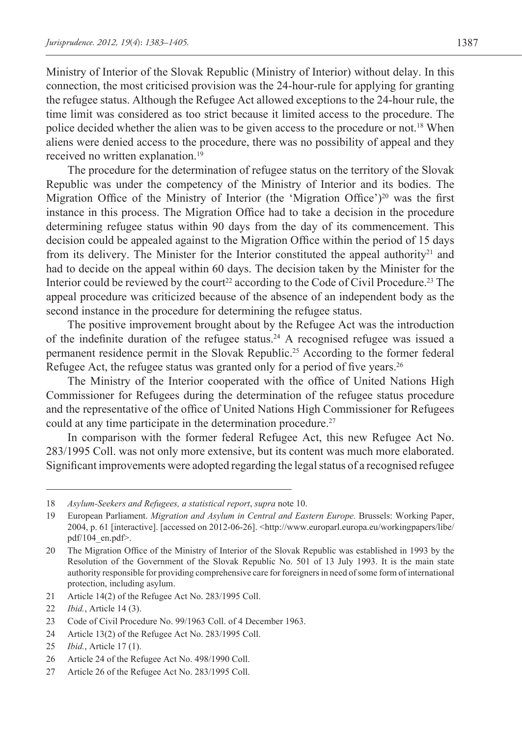Ministry of Interior of the Slovak Republic (Ministry of Interior) without delay. In this connection, the most criticised provision was the 24-hour-rule for applying for granting the refugee status. Although the Refugee Act allowed exceptions to the 24-hour rule, the time limit was considered as too strict because it limited access to the procedure. The police decided whether the alien was to be given access to the procedure or not.18 When aliens were denied access to the procedure, there was no possibility of appeal and they received no written explanation.<sup>19</sup>

The procedure for the determination of refugee status on the territory of the Slovak Republic was under the competency of the Ministry of Interior and its bodies. The Migration Office of the Ministry of Interior (the 'Migration Office')<sup>20</sup> was the first instance in this process. The Migration Office had to take a decision in the procedure determining refugee status within 90 days from the day of its commencement. This decision could be appealed against to the Migration Office within the period of 15 days from its delivery. The Minister for the Interior constituted the appeal authority<sup>21</sup> and had to decide on the appeal within 60 days. The decision taken by the Minister for the Interior could be reviewed by the court<sup>22</sup> according to the Code of Civil Procedure.<sup>23</sup> The appeal procedure was criticized because of the absence of an independent body as the second instance in the procedure for determining the refugee status.

The positive improvement brought about by the Refugee Act was the introduction of the indefinite duration of the refugee status.<sup>24</sup> A recognised refugee was issued a permanent residence permit in the Slovak Republic.<sup>25</sup> According to the former federal Refugee Act, the refugee status was granted only for a period of five years.<sup>26</sup>

The Ministry of the Interior cooperated with the office of United Nations High Commissioner for Refugees during the determination of the refugee status procedure and the representative of the office of United Nations High Commissioner for Refugees could at any time participate in the determination procedure.27

In comparison with the former federal Refugee Act, this new Refugee Act No. 283/1995 Coll. was not only more extensive, but its content was much more elaborated. Significant improvements were adopted regarding the legal status of a recognised refugee

21 Article 14(2) of the Refugee Act No. 283/1995 Coll.

- 23 Code of Civil Procedure No. 99/1963 Coll. of 4 December 1963.
- 24 Article 13(2) of the Refugee Act No. 283/1995 Coll.
- 25 *Ibid.*, Article 17 (1).
- 26 Article 24 of the Refugee Act No. 498/1990 Coll.
- 27 Article 26 of the Refugee Act No. 283/1995 Coll.

<sup>18</sup> *Asylum-Seekers and Refugees, a statistical report*, *supra* note 10.

<sup>19</sup> European Parliament. *Migration and Asylum in Central and Eastern Europe.* Brussels: Working Paper, 2004, p. 61 [interactive]. [accessed on 2012-06-26]. <http://www.europarl.europa.eu/workingpapers/libe/ pdf/104  $en.pdf$ .

<sup>20</sup> The Migration Office of the Ministry of Interior of the Slovak Republic was established in 1993 by the Resolution of the Government of the Slovak Republic No. 501 of 13 July 1993. It is the main state authority responsible for providing comprehensive care for foreigners in need of some form of international protection, including asylum.

<sup>22</sup> *Ibid.*, Article 14 (3).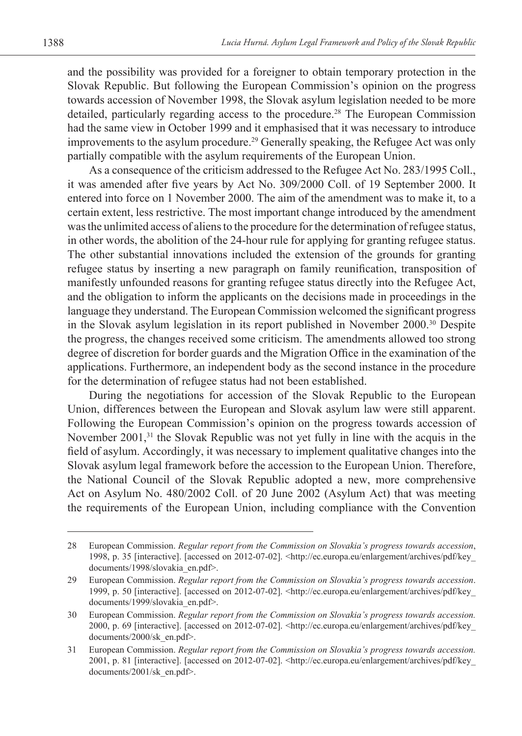and the possibility was provided for a foreigner to obtain temporary protection in the Slovak Republic. But following the European Commission's opinion on the progress towards accession of November 1998, the Slovak asylum legislation needed to be more detailed, particularly regarding access to the procedure.28 The European Commission had the same view in October 1999 and it emphasised that it was necessary to introduce improvements to the asylum procedure.<sup>29</sup> Generally speaking, the Refugee Act was only partially compatible with the asylum requirements of the European Union.

As a consequence of the criticism addressed to the Refugee Act No. 283/1995 Coll., it was amended after five years by Act No. 309/2000 Coll. of 19 September 2000. It entered into force on 1 November 2000. The aim of the amendment was to make it, to a certain extent, less restrictive. The most important change introduced by the amendment was the unlimited access of aliens to the procedure for the determination of refugee status, in other words, the abolition of the 24-hour rule for applying for granting refugee status. The other substantial innovations included the extension of the grounds for granting refugee status by inserting a new paragraph on family reunification, transposition of manifestly unfounded reasons for granting refugee status directly into the Refugee Act, and the obligation to inform the applicants on the decisions made in proceedings in the language they understand. The European Commission welcomed the significant progress in the Slovak asylum legislation in its report published in November 2000.30 Despite the progress, the changes received some criticism. The amendments allowed too strong degree of discretion for border guards and the Migration Office in the examination of the applications. Furthermore, an independent body as the second instance in the procedure for the determination of refugee status had not been established.

During the negotiations for accession of the Slovak Republic to the European Union, differences between the European and Slovak asylum law were still apparent. Following the European Commission's opinion on the progress towards accession of November 2001,<sup>31</sup> the Slovak Republic was not yet fully in line with the acquis in the field of asylum. Accordingly, it was necessary to implement qualitative changes into the Slovak asylum legal framework before the accession to the European Union. Therefore, the National Council of the Slovak Republic adopted a new, more comprehensive Act on Asylum No. 480/2002 Coll. of 20 June 2002 (Asylum Act) that was meeting the requirements of the European Union, including compliance with the Convention

<sup>28</sup> European Commission. *Regular report from the Commission on Slovakia's progress towards accession*, 1998, p. 35 [interactive]. [accessed on 2012-07-02]. <http://ec.europa.eu/enlargement/archives/pdf/key\_ documents/1998/slovakia\_en.pdf>.

<sup>29</sup> European Commission. *Regular report from the Commission on Slovakia's progress towards accession*. 1999, p. 50 [interactive]. [accessed on 2012-07-02]. <http://ec.europa.eu/enlargement/archives/pdf/key\_ documents/1999/slovakia\_en.pdf>.

<sup>30</sup> European Commission. *Regular report from the Commission on Slovakia's progress towards accession.*  2000, p. 69 [interactive]. [accessed on 2012-07-02]. <http://ec.europa.eu/enlargement/archives/pdf/key\_ documents/2000/sk\_en.pdf>.

<sup>31</sup> European Commission. *Regular report from the Commission on Slovakia's progress towards accession.*  2001, p. 81 [interactive]. [accessed on 2012-07-02]. <http://ec.europa.eu/enlargement/archives/pdf/key\_ documents/2001/sk\_en.pdf>.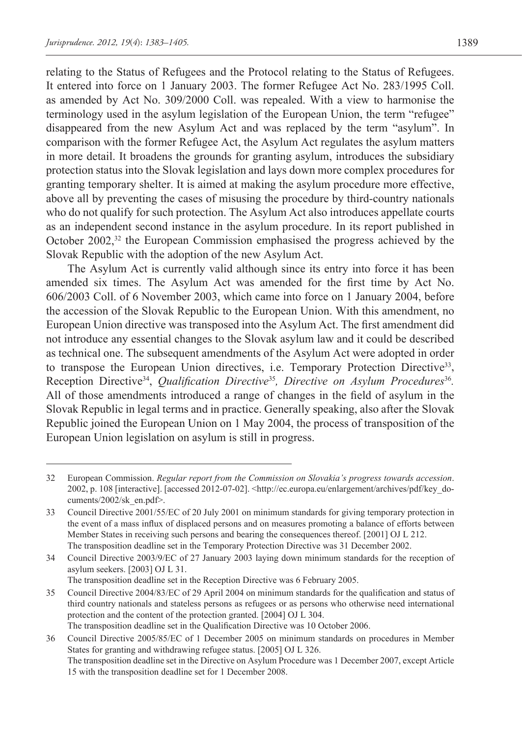relating to the Status of Refugees and the Protocol relating to the Status of Refugees. It entered into force on 1 January 2003. The former Refugee Act No. 283/1995 Coll. as amended by Act No. 309/2000 Coll. was repealed. With a view to harmonise the terminology used in the asylum legislation of the European Union, the term "refugee" disappeared from the new Asylum Act and was replaced by the term "asylum". In comparison with the former Refugee Act, the Asylum Act regulates the asylum matters in more detail. It broadens the grounds for granting asylum, introduces the subsidiary protection status into the Slovak legislation and lays down more complex procedures for granting temporary shelter. It is aimed at making the asylum procedure more effective, above all by preventing the cases of misusing the procedure by third-country nationals who do not qualify for such protection. The Asylum Act also introduces appellate courts as an independent second instance in the asylum procedure. In its report published in October 2002,32 the European Commission emphasised the progress achieved by the Slovak Republic with the adoption of the new Asylum Act.

The Asylum Act is currently valid although since its entry into force it has been amended six times. The Asylum Act was amended for the first time by Act No. 606/2003 Coll. of 6 November 2003, which came into force on 1 January 2004, before the accession of the Slovak Republic to the European Union. With this amendment, no European Union directive was transposed into the Asylum Act. The first amendment did not introduce any essential changes to the Slovak asylum law and it could be described as technical one. The subsequent amendments of the Asylum Act were adopted in order to transpose the European Union directives, i.e. Temporary Protection Directive<sup>33</sup>, Reception Directive34, *Qualification Directive*<sup>35</sup>*, Directive on Asylum Procedures*<sup>36</sup>*.* All of those amendments introduced a range of changes in the field of asylum in the Slovak Republic in legal terms and in practice. Generally speaking, also after the Slovak Republic joined the European Union on 1 May 2004, the process of transposition of the European Union legislation on asylum is still in progress.

The transposition deadline set in the Reception Directive was 6 February 2005.

<sup>32</sup> European Commission. *Regular report from the Commission on Slovakia's progress towards accession*. 2002, p. 108 [interactive]. [accessed 2012-07-02]. <http://ec.europa.eu/enlargement/archives/pdf/key\_documents/2002/sk\_en.pdf>.

<sup>33</sup> Council Directive 2001/55/EC of 20 July 2001 on minimum standards for giving temporary protection in the event of a mass influx of displaced persons and on measures promoting a balance of efforts between Member States in receiving such persons and bearing the consequences thereof. [2001] OJ L 212. The transposition deadline set in the Temporary Protection Directive was 31 December 2002.

<sup>34</sup> Council Directive 2003/9/EC of 27 January 2003 laying down minimum standards for the reception of asylum seekers. [2003] OJ L 31.

<sup>35</sup> Council Directive 2004/83/EC of 29 April 2004 on minimum standards for the qualification and status of third country nationals and stateless persons as refugees or as persons who otherwise need international protection and the content of the protection granted. [2004] OJ L 304. The transposition deadline set in the Qualification Directive was 10 October 2006.

<sup>36</sup> Council Directive 2005/85/EC of 1 December 2005 on minimum standards on procedures in Member States for granting and withdrawing refugee status. [2005] OJ L 326.

The transposition deadline set in the Directive on Asylum Procedure was 1 December 2007, except Article 15 with the transposition deadline set for 1 December 2008.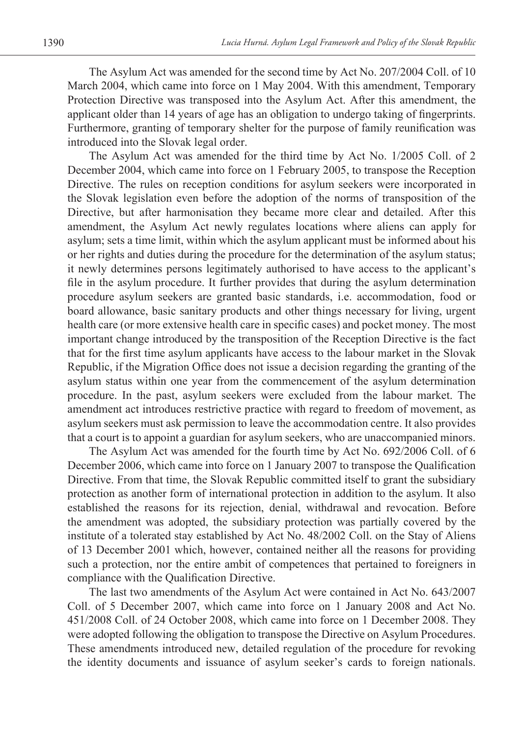The Asylum Act was amended for the second time by Act No. 207/2004 Coll. of 10 March 2004, which came into force on 1 May 2004. With this amendment, Temporary Protection Directive was transposed into the Asylum Act. After this amendment, the applicant older than 14 years of age has an obligation to undergo taking of fingerprints. Furthermore, granting of temporary shelter for the purpose of family reunification was introduced into the Slovak legal order.

The Asylum Act was amended for the third time by Act No. 1/2005 Coll. of 2 December 2004, which came into force on 1 February 2005, to transpose the Reception Directive. The rules on reception conditions for asylum seekers were incorporated in the Slovak legislation even before the adoption of the norms of transposition of the Directive, but after harmonisation they became more clear and detailed. After this amendment, the Asylum Act newly regulates locations where aliens can apply for asylum; sets a time limit, within which the asylum applicant must be informed about his or her rights and duties during the procedure for the determination of the asylum status; it newly determines persons legitimately authorised to have access to the applicant's file in the asylum procedure. It further provides that during the asylum determination procedure asylum seekers are granted basic standards, i.e. accommodation, food or board allowance, basic sanitary products and other things necessary for living, urgent health care (or more extensive health care in specific cases) and pocket money. The most important change introduced by the transposition of the Reception Directive is the fact that for the first time asylum applicants have access to the labour market in the Slovak Republic, if the Migration Office does not issue a decision regarding the granting of the asylum status within one year from the commencement of the asylum determination procedure. In the past, asylum seekers were excluded from the labour market. The amendment act introduces restrictive practice with regard to freedom of movement, as asylum seekers must ask permission to leave the accommodation centre. It also provides that a court is to appoint a guardian for asylum seekers, who are unaccompanied minors.

The Asylum Act was amended for the fourth time by Act No. 692/2006 Coll. of 6 December 2006, which came into force on 1 January 2007 to transpose the Qualification Directive. From that time, the Slovak Republic committed itself to grant the subsidiary protection as another form of international protection in addition to the asylum. It also established the reasons for its rejection, denial, withdrawal and revocation. Before the amendment was adopted, the subsidiary protection was partially covered by the institute of a tolerated stay established by Act No. 48/2002 Coll. on the Stay of Aliens of 13 December 2001 which, however, contained neither all the reasons for providing such a protection, nor the entire ambit of competences that pertained to foreigners in compliance with the Qualification Directive.

The last two amendments of the Asylum Act were contained in Act No. 643/2007 Coll. of 5 December 2007, which came into force on 1 January 2008 and Act No. 451/2008 Coll. of 24 October 2008, which came into force on 1 December 2008. They were adopted following the obligation to transpose the Directive on Asylum Procedures. These amendments introduced new, detailed regulation of the procedure for revoking the identity documents and issuance of asylum seeker's cards to foreign nationals.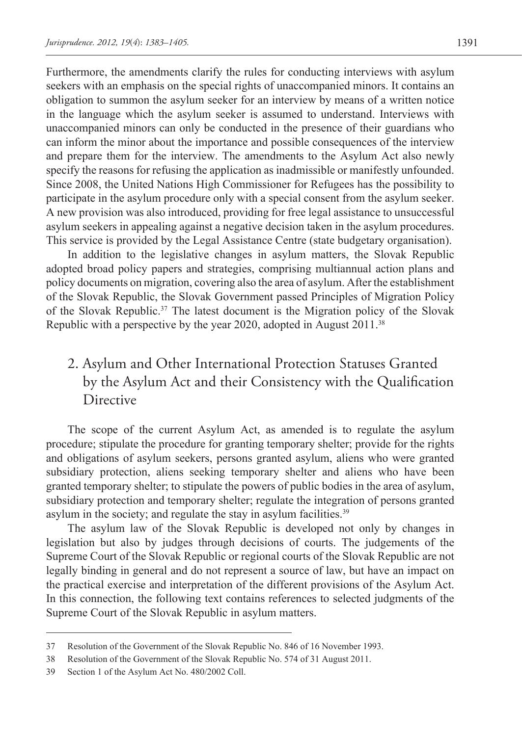Furthermore, the amendments clarify the rules for conducting interviews with asylum seekers with an emphasis on the special rights of unaccompanied minors. It contains an obligation to summon the asylum seeker for an interview by means of a written notice in the language which the asylum seeker is assumed to understand. Interviews with unaccompanied minors can only be conducted in the presence of their guardians who can inform the minor about the importance and possible consequences of the interview and prepare them for the interview. The amendments to the Asylum Act also newly specify the reasons for refusing the application as inadmissible or manifestly unfounded. Since 2008, the United Nations High Commissioner for Refugees has the possibility to participate in the asylum procedure only with a special consent from the asylum seeker. A new provision was also introduced, providing for free legal assistance to unsuccessful asylum seekers in appealing against a negative decision taken in the asylum procedures. This service is provided by the Legal Assistance Centre (state budgetary organisation).

In addition to the legislative changes in asylum matters, the Slovak Republic adopted broad policy papers and strategies, comprising multiannual action plans and policy documents on migration, covering also the area of asylum. After the establishment of the Slovak Republic, the Slovak Government passed Principles of Migration Policy of the Slovak Republic.<sup>37</sup> The latest document is the Migration policy of the Slovak Republic with a perspective by the year 2020, adopted in August 2011.<sup>38</sup>

# 2. Asylum and Other International Protection Statuses Granted by the Asylum Act and their Consistency with the Qualification Directive

The scope of the current Asylum Act, as amended is to regulate the asylum procedure; stipulate the procedure for granting temporary shelter; provide for the rights and obligations of asylum seekers, persons granted asylum, aliens who were granted subsidiary protection, aliens seeking temporary shelter and aliens who have been granted temporary shelter; to stipulate the powers of public bodies in the area of asylum, subsidiary protection and temporary shelter; regulate the integration of persons granted asylum in the society; and regulate the stay in asylum facilities.<sup>39</sup>

The asylum law of the Slovak Republic is developed not only by changes in legislation but also by judges through decisions of courts. The judgements of the Supreme Court of the Slovak Republic or regional courts of the Slovak Republic are not legally binding in general and do not represent a source of law, but have an impact on the practical exercise and interpretation of the different provisions of the Asylum Act. In this connection, the following text contains references to selected judgments of the Supreme Court of the Slovak Republic in asylum matters.

<sup>37</sup> Resolution of the Government of the Slovak Republic No. 846 of 16 November 1993.

<sup>38</sup> Resolution of the Government of the Slovak Republic No. 574 of 31 August 2011.

<sup>39</sup> Section 1 of the Asylum Act No. 480/2002 Coll.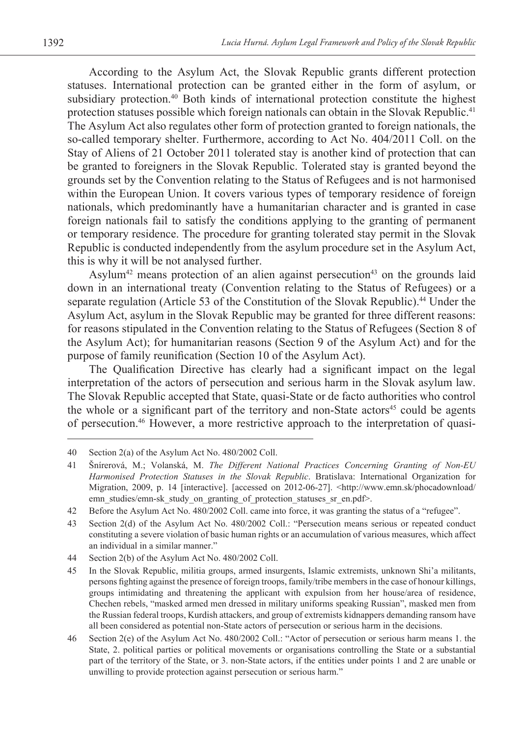According to the Asylum Act, the Slovak Republic grants different protection statuses. International protection can be granted either in the form of asylum, or subsidiary protection.<sup>40</sup> Both kinds of international protection constitute the highest protection statuses possible which foreign nationals can obtain in the Slovak Republic.<sup>41</sup> The Asylum Act also regulates other form of protection granted to foreign nationals, the so-called temporary shelter. Furthermore, according to Act No. 404/2011 Coll. on the Stay of Aliens of 21 October 2011 tolerated stay is another kind of protection that can be granted to foreigners in the Slovak Republic. Tolerated stay is granted beyond the grounds set by the Convention relating to the Status of Refugees and is not harmonised within the European Union. It covers various types of temporary residence of foreign nationals, which predominantly have a humanitarian character and is granted in case foreign nationals fail to satisfy the conditions applying to the granting of permanent or temporary residence. The procedure for granting tolerated stay permit in the Slovak Republic is conducted independently from the asylum procedure set in the Asylum Act, this is why it will be not analysed further.

Asylum<sup>42</sup> means protection of an alien against persecution<sup>43</sup> on the grounds laid down in an international treaty (Convention relating to the Status of Refugees) or a separate regulation (Article 53 of the Constitution of the Slovak Republic).44 Under the Asylum Act, asylum in the Slovak Republic may be granted for three different reasons: for reasons stipulated in the Convention relating to the Status of Refugees (Section 8 of the Asylum Act); for humanitarian reasons (Section 9 of the Asylum Act) and for the purpose of family reunification (Section 10 of the Asylum Act).

The Qualification Directive has clearly had a significant impact on the legal interpretation of the actors of persecution and serious harm in the Slovak asylum law. The Slovak Republic accepted that State, quasi-State or de facto authorities who control the whole or a significant part of the territory and non-State actors<sup>45</sup> could be agents of persecution.46 However, a more restrictive approach to the interpretation of quasi-

<sup>40</sup> Section 2(a) of the Asylum Act No. 480/2002 Coll.

<sup>41</sup> Šnírerová, M.; Volanská, M. *The Different National Practices Concerning Granting of Non-EU Harmonised Protection Statuses in the Slovak Republic*. Bratislava: International Organization for Migration, 2009, p. 14 [interactive]. [accessed on 2012-06-27]. <http://www.emn.sk/phocadownload/ emn\_studies/emn-sk\_study\_on\_granting\_of\_protection\_statuses\_sr\_en.pdf>.

<sup>42</sup> Before the Asylum Act No. 480/2002 Coll. came into force, it was granting the status of a "refugee".

<sup>43</sup> Section 2(d) of the Asylum Act No. 480/2002 Coll.: "Persecution means serious or repeated conduct constituting a severe violation of basic human rights or an accumulation of various measures, which affect an individual in a similar manner."

<sup>44</sup> Section 2(b) of the Asylum Act No. 480/2002 Coll.

<sup>45</sup> In the Slovak Republic, militia groups, armed insurgents, Islamic extremists, unknown Shi'a militants, persons fighting against the presence of foreign troops, family/tribe members in the case of honour killings, groups intimidating and threatening the applicant with expulsion from her house/area of residence, Chechen rebels, "masked armed men dressed in military uniforms speaking Russian", masked men from the Russian federal troops, Kurdish attackers, and group of extremists kidnappers demanding ransom have all been considered as potential non-State actors of persecution or serious harm in the decisions.

<sup>46</sup> Section 2(e) of the Asylum Act No. 480/2002 Coll.: "Actor of persecution or serious harm means 1. the State, 2. political parties or political movements or organisations controlling the State or a substantial part of the territory of the State, or 3. non-State actors, if the entities under points 1 and 2 are unable or unwilling to provide protection against persecution or serious harm."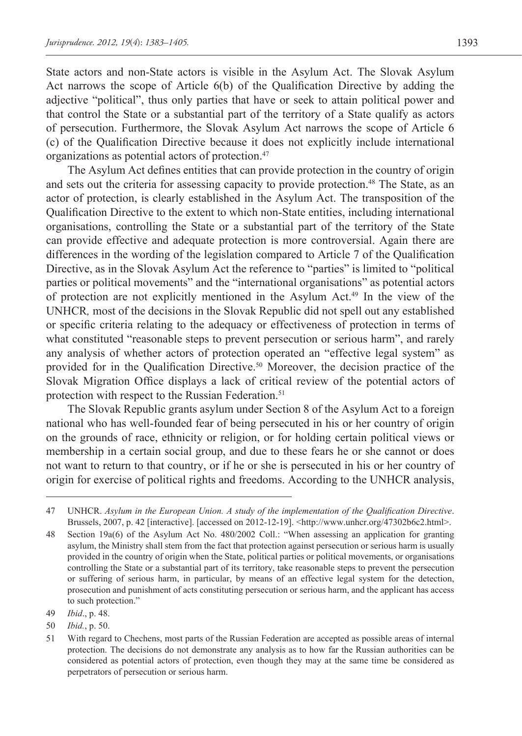State actors and non-State actors is visible in the Asylum Act. The Slovak Asylum Act narrows the scope of Article 6(b) of the Qualification Directive by adding the adjective "political", thus only parties that have or seek to attain political power and that control the State or a substantial part of the territory of a State qualify as actors of persecution. Furthermore, the Slovak Asylum Act narrows the scope of Article 6 (c) of the Qualification Directive because it does not explicitly include international organizations as potential actors of protection.47

The Asylum Act defines entities that can provide protection in the country of origin and sets out the criteria for assessing capacity to provide protection.<sup>48</sup> The State, as an actor of protection, is clearly established in the Asylum Act. The transposition of the Qualification Directive to the extent to which non-State entities, including international organisations, controlling the State or a substantial part of the territory of the State can provide effective and adequate protection is more controversial. Again there are differences in the wording of the legislation compared to Article 7 of the Qualification Directive, as in the Slovak Asylum Act the reference to "parties" is limited to "political parties or political movements" and the "international organisations" as potential actors of protection are not explicitly mentioned in the Asylum Act.49 In the view of the UNHCR*,* most of the decisions in the Slovak Republic did not spell out any established or specific criteria relating to the adequacy or effectiveness of protection in terms of what constituted "reasonable steps to prevent persecution or serious harm", and rarely any analysis of whether actors of protection operated an "effective legal system" as provided for in the Qualification Directive.50 Moreover, the decision practice of the Slovak Migration Office displays a lack of critical review of the potential actors of protection with respect to the Russian Federation.<sup>51</sup>

The Slovak Republic grants asylum under Section 8 of the Asylum Act to a foreign national who has well-founded fear of being persecuted in his or her country of origin on the grounds of race, ethnicity or religion, or for holding certain political views or membership in a certain social group, and due to these fears he or she cannot or does not want to return to that country, or if he or she is persecuted in his or her country of origin for exercise of political rights and freedoms. According to the UNHCR analysis,

- 49 *Ibid*., p. 48.
- 50 *Ibid.*, p. 50.

<sup>47</sup> UNHCR. *Asylum in the European Union. A study of the implementation of the Qualification Directive*. Brussels, 2007, p. 42 [interactive]. [accessed on 2012-12-19]. <http://www.unhcr.org/47302b6c2.html>.

<sup>48</sup> Section 19a(6) of the Asylum Act No. 480/2002 Coll.: "When assessing an application for granting asylum, the Ministry shall stem from the fact that protection against persecution or serious harm is usually provided in the country of origin when the State, political parties or political movements, or organisations controlling the State or a substantial part of its territory, take reasonable steps to prevent the persecution or suffering of serious harm, in particular, by means of an effective legal system for the detection, prosecution and punishment of acts constituting persecution or serious harm, and the applicant has access to such protection."

<sup>51</sup> With regard to Chechens, most parts of the Russian Federation are accepted as possible areas of internal protection. The decisions do not demonstrate any analysis as to how far the Russian authorities can be considered as potential actors of protection, even though they may at the same time be considered as perpetrators of persecution or serious harm.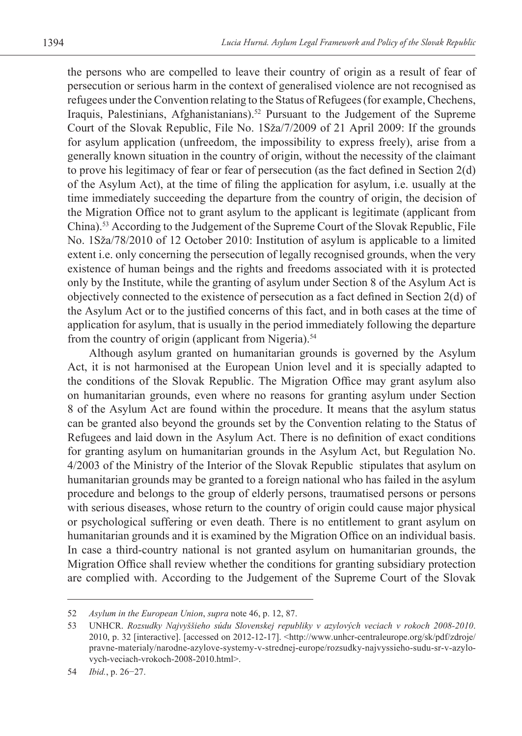the persons who are compelled to leave their country of origin as a result of fear of persecution or serious harm in the context of generalised violence are not recognised as refugees under the Convention relating to the Status of Refugees (for example, Chechens, Iraquis, Palestinians, Afghanistanians).<sup>52</sup> Pursuant to the Judgement of the Supreme Court of the Slovak Republic, File No. 1Sža/7/2009 of 21 April 2009: If the grounds for asylum application (unfreedom, the impossibility to express freely), arise from a generally known situation in the country of origin, without the necessity of the claimant to prove his legitimacy of fear or fear of persecution (as the fact defined in Section 2(d) of the Asylum Act), at the time of filing the application for asylum, i.e. usually at the time immediately succeeding the departure from the country of origin, the decision of the Migration Office not to grant asylum to the applicant is legitimate (applicant from China).53 According to the Judgement of the Supreme Court of the Slovak Republic, File No. 1Sža/78/2010 of 12 October 2010: Institution of asylum is applicable to a limited extent i.e. only concerning the persecution of legally recognised grounds, when the very existence of human beings and the rights and freedoms associated with it is protected only by the Institute, while the granting of asylum under Section 8 of the Asylum Act is objectively connected to the existence of persecution as a fact defined in Section 2(d) of the Asylum Act or to the justified concerns of this fact, and in both cases at the time of application for asylum, that is usually in the period immediately following the departure from the country of origin (applicant from Nigeria).<sup>54</sup>

Although asylum granted on humanitarian grounds is governed by the Asylum Act, it is not harmonised at the European Union level and it is specially adapted to the conditions of the Slovak Republic. The Migration Office may grant asylum also on humanitarian grounds, even where no reasons for granting asylum under Section 8 of the Asylum Act are found within the procedure. It means that the asylum status can be granted also beyond the grounds set by the Convention relating to the Status of Refugees and laid down in the Asylum Act. There is no definition of exact conditions for granting asylum on humanitarian grounds in the Asylum Act, but Regulation No. 4/2003 of the Ministry of the Interior of the Slovak Republic stipulates that asylum on humanitarian grounds may be granted to a foreign national who has failed in the asylum procedure and belongs to the group of elderly persons, traumatised persons or persons with serious diseases, whose return to the country of origin could cause major physical or psychological suffering or even death. There is no entitlement to grant asylum on humanitarian grounds and it is examined by the Migration Office on an individual basis. In case a third-country national is not granted asylum on humanitarian grounds, the Migration Office shall review whether the conditions for granting subsidiary protection are complied with. According to the Judgement of the Supreme Court of the Slovak

<sup>52</sup> *Asylum in the European Union*, *supra* note 46, p. 12, 87.

<sup>53</sup> UNHCR. *Rozsudky Najvyššieho súdu Slovenskej republiky v azylových veciach v rokoch 2008-2010*. 2010, p. 32 [interactive]. [accessed on 2012-12-17]. <http://www.unhcr-centraleurope.org/sk/pdf/zdroje/ pravne-materialy/narodne-azylove-systemy-v-strednej-europe/rozsudky-najvyssieho-sudu-sr-v-azylovych-veciach-vrokoch-2008-2010.html>.

<sup>54</sup> *Ibid.*, p. 26−27.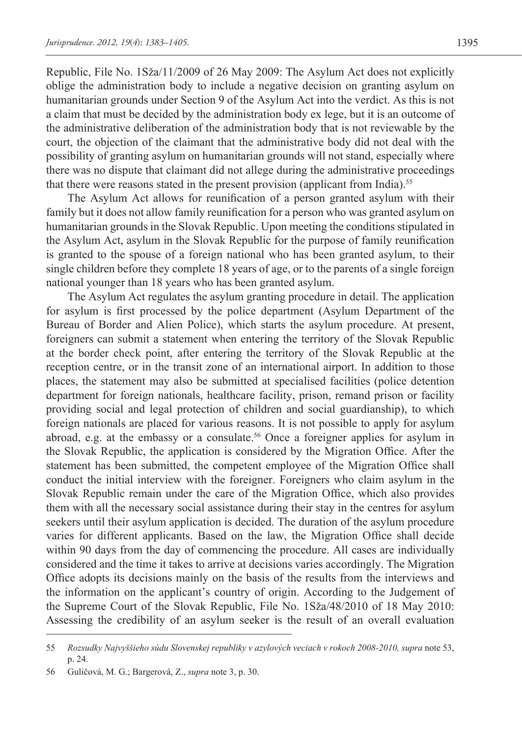Republic, File No. 1Sža/11/2009 of 26 May 2009: The Asylum Act does not explicitly oblige the administration body to include a negative decision on granting asylum on humanitarian grounds under Section 9 of the Asylum Act into the verdict. As this is not a claim that must be decided by the administration body ex lege, but it is an outcome of the administrative deliberation of the administration body that is not reviewable by the court, the objection of the claimant that the administrative body did not deal with the possibility of granting asylum on humanitarian grounds will not stand, especially where there was no dispute that claimant did not allege during the administrative proceedings that there were reasons stated in the present provision (applicant from India).<sup>55</sup>

The Asylum Act allows for reunification of a person granted asylum with their family but it does not allow family reunification for a person who was granted asylum on humanitarian grounds in the Slovak Republic. Upon meeting the conditions stipulated in the Asylum Act, asylum in the Slovak Republic for the purpose of family reunification is granted to the spouse of a foreign national who has been granted asylum, to their single children before they complete 18 years of age, or to the parents of a single foreign national younger than 18 years who has been granted asylum.

The Asylum Act regulates the asylum granting procedure in detail. The application for asylum is first processed by the police department (Asylum Department of the Bureau of Border and Alien Police), which starts the asylum procedure. At present, foreigners can submit a statement when entering the territory of the Slovak Republic at the border check point, after entering the territory of the Slovak Republic at the reception centre, or in the transit zone of an international airport. In addition to those places, the statement may also be submitted at specialised facilities (police detention department for foreign nationals, healthcare facility, prison, remand prison or facility providing social and legal protection of children and social guardianship), to which foreign nationals are placed for various reasons. It is not possible to apply for asylum abroad, e.g. at the embassy or a consulate.<sup>56</sup> Once a foreigner applies for asylum in the Slovak Republic, the application is considered by the Migration Office. After the statement has been submitted, the competent employee of the Migration Office shall conduct the initial interview with the foreigner. Foreigners who claim asylum in the Slovak Republic remain under the care of the Migration Office, which also provides them with all the necessary social assistance during their stay in the centres for asylum seekers until their asylum application is decided. The duration of the asylum procedure varies for different applicants. Based on the law, the Migration Office shall decide within 90 days from the day of commencing the procedure. All cases are individually considered and the time it takes to arrive at decisions varies accordingly. The Migration Office adopts its decisions mainly on the basis of the results from the interviews and the information on the applicant's country of origin. According to the Judgement of the Supreme Court of the Slovak Republic, File No. 1Sža/48/2010 of 18 May 2010: Assessing the credibility of an asylum seeker is the result of an overall evaluation

<sup>55</sup> *Rozsudky Najvyššieho súdu Slovenskej republiky v azylových veciach v rokoch 2008-2010, supra* note 53, p. 24.

<sup>56</sup> Guličová, M. G.; Bargerová, Z., *supra* note 3, p. 30.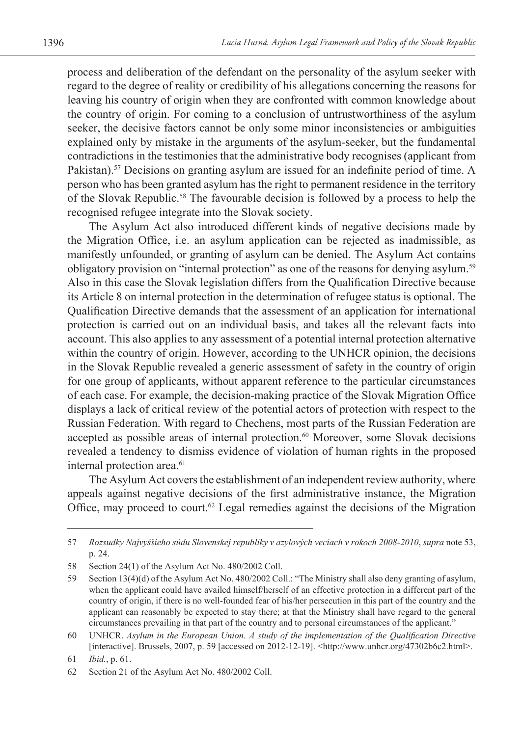process and deliberation of the defendant on the personality of the asylum seeker with regard to the degree of reality or credibility of his allegations concerning the reasons for leaving his country of origin when they are confronted with common knowledge about the country of origin. For coming to a conclusion of untrustworthiness of the asylum seeker, the decisive factors cannot be only some minor inconsistencies or ambiguities explained only by mistake in the arguments of the asylum-seeker, but the fundamental contradictions in the testimonies that the administrative body recognises (applicant from Pakistan).<sup>57</sup> Decisions on granting asylum are issued for an indefinite period of time. A person who has been granted asylum has the right to permanent residence in the territory of the Slovak Republic.58 The favourable decision is followed by a process to help the recognised refugee integrate into the Slovak society.

The Asylum Act also introduced different kinds of negative decisions made by the Migration Office, i.e. an asylum application can be rejected as inadmissible, as manifestly unfounded, or granting of asylum can be denied. The Asylum Act contains obligatory provision on "internal protection" as one of the reasons for denying asylum.59 Also in this case the Slovak legislation differs from the Qualification Directive because its Article 8 on internal protection in the determination of refugee status is optional. The Qualification Directive demands that the assessment of an application for international protection is carried out on an individual basis, and takes all the relevant facts into account. This also applies to any assessment of a potential internal protection alternative within the country of origin. However, according to the UNHCR opinion, the decisions in the Slovak Republic revealed a generic assessment of safety in the country of origin for one group of applicants, without apparent reference to the particular circumstances of each case. For example, the decision-making practice of the Slovak Migration Office displays a lack of critical review of the potential actors of protection with respect to the Russian Federation. With regard to Chechens, most parts of the Russian Federation are accepted as possible areas of internal protection.<sup>60</sup> Moreover, some Slovak decisions revealed a tendency to dismiss evidence of violation of human rights in the proposed internal protection area.<sup>61</sup>

The Asylum Act covers the establishment of an independent review authority, where appeals against negative decisions of the first administrative instance, the Migration Office, may proceed to court.<sup>62</sup> Legal remedies against the decisions of the Migration

<sup>57</sup> *Rozsudky Najvyššieho súdu Slovenskej republiky v azylových veciach v rokoch 2008-2010*, *supra* note 53, p. 24.

<sup>58</sup> Section 24(1) of the Asylum Act No. 480/2002 Coll.

<sup>59</sup> Section 13(4)(d) of the Asylum Act No. 480/2002 Coll.: "The Ministry shall also deny granting of asylum, when the applicant could have availed himself/herself of an effective protection in a different part of the country of origin, if there is no well-founded fear of his/her persecution in this part of the country and the applicant can reasonably be expected to stay there; at that the Ministry shall have regard to the general circumstances prevailing in that part of the country and to personal circumstances of the applicant."

<sup>60</sup> UNHCR. *Asylum in the European Union. A study of the implementation of the Qualification Directive* [interactive]. Brussels, 2007, p. 59 [accessed on 2012-12-19]. <http://www.unhcr.org/47302b6c2.html>.

<sup>61</sup> *Ibid.*, p. 61.

<sup>62</sup> Section 21 of the Asylum Act No. 480/2002 Coll.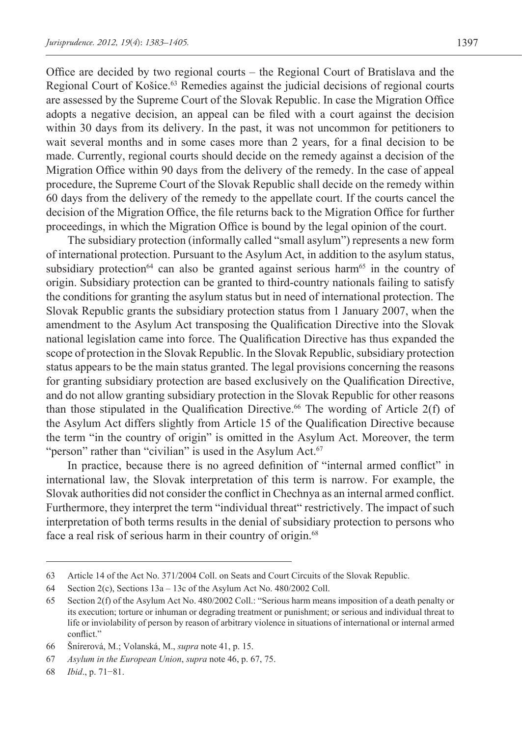Office are decided by two regional courts – the Regional Court of Bratislava and the Regional Court of Košice.63 Remedies against the judicial decisions of regional courts are assessed by the Supreme Court of the Slovak Republic. In case the Migration Office adopts a negative decision, an appeal can be filed with a court against the decision within 30 days from its delivery. In the past, it was not uncommon for petitioners to wait several months and in some cases more than 2 years, for a final decision to be made. Currently, regional courts should decide on the remedy against a decision of the Migration Office within 90 days from the delivery of the remedy. In the case of appeal procedure, the Supreme Court of the Slovak Republic shall decide on the remedy within 60 days from the delivery of the remedy to the appellate court. If the courts cancel the decision of the Migration Office, the file returns back to the Migration Office for further proceedings, in which the Migration Office is bound by the legal opinion of the court.

The subsidiary protection (informally called "small asylum") represents a new form of international protection. Pursuant to the Asylum Act, in addition to the asylum status, subsidiary protection<sup>64</sup> can also be granted against serious harm<sup>65</sup> in the country of origin. Subsidiary protection can be granted to third-country nationals failing to satisfy the conditions for granting the asylum status but in need of international protection. The Slovak Republic grants the subsidiary protection status from 1 January 2007, when the amendment to the Asylum Act transposing the Qualification Directive into the Slovak national legislation came into force. The Qualification Directive has thus expanded the scope of protection in the Slovak Republic. In the Slovak Republic, subsidiary protection status appears to be the main status granted. The legal provisions concerning the reasons for granting subsidiary protection are based exclusively on the Qualification Directive, and do not allow granting subsidiary protection in the Slovak Republic for other reasons than those stipulated in the Qualification Directive.<sup>66</sup> The wording of Article  $2(f)$  of the Asylum Act differs slightly from Article 15 of the Qualification Directive because the term "in the country of origin" is omitted in the Asylum Act. Moreover, the term "person" rather than "civilian" is used in the Asylum Act.<sup>67</sup>

In practice, because there is no agreed definition of "internal armed conflict" in international law, the Slovak interpretation of this term is narrow. For example, the Slovak authorities did not consider the conflict in Chechnya as an internal armed conflict. Furthermore, they interpret the term "individual threat" restrictively. The impact of such interpretation of both terms results in the denial of subsidiary protection to persons who face a real risk of serious harm in their country of origin.<sup>68</sup>

<sup>63</sup> Article 14 of the Act No. 371/2004 Coll. on Seats and Court Circuits of the Slovak Republic.

<sup>64</sup> Section 2(c), Sections 13a – 13c of the Asylum Act No. 480/2002 Coll.

<sup>65</sup> Section 2(f) of the Asylum Act No. 480/2002 Coll.: "Serious harm means imposition of a death penalty or its execution; torture or inhuman or degrading treatment or punishment; or serious and individual threat to life or inviolability of person by reason of arbitrary violence in situations of international or internal armed conflict."

<sup>66</sup> Šnírerová, M.; Volanská, M., *supra* note 41, p. 15.

<sup>67</sup> *Asylum in the European Union*, *supra* note 46, p. 67, 75.

<sup>68</sup> *Ibid*., p. 71−81.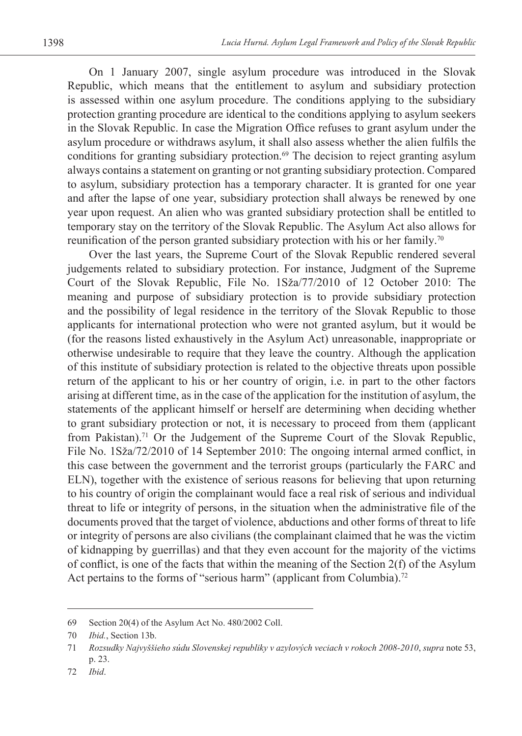On 1 January 2007, single asylum procedure was introduced in the Slovak Republic, which means that the entitlement to asylum and subsidiary protection is assessed within one asylum procedure. The conditions applying to the subsidiary protection granting procedure are identical to the conditions applying to asylum seekers in the Slovak Republic. In case the Migration Office refuses to grant asylum under the asylum procedure or withdraws asylum, it shall also assess whether the alien fulfils the conditions for granting subsidiary protection.69 The decision to reject granting asylum always contains a statement on granting or not granting subsidiary protection. Compared to asylum, subsidiary protection has a temporary character. It is granted for one year and after the lapse of one year, subsidiary protection shall always be renewed by one year upon request. An alien who was granted subsidiary protection shall be entitled to temporary stay on the territory of the Slovak Republic. The Asylum Act also allows for reunification of the person granted subsidiary protection with his or her family.<sup>70</sup>

Over the last years, the Supreme Court of the Slovak Republic rendered several judgements related to subsidiary protection. For instance, Judgment of the Supreme Court of the Slovak Republic, File No. 1Sža/77/2010 of 12 October 2010: The meaning and purpose of subsidiary protection is to provide subsidiary protection and the possibility of legal residence in the territory of the Slovak Republic to those applicants for international protection who were not granted asylum, but it would be (for the reasons listed exhaustively in the Asylum Act) unreasonable, inappropriate or otherwise undesirable to require that they leave the country. Although the application of this institute of subsidiary protection is related to the objective threats upon possible return of the applicant to his or her country of origin, i.e. in part to the other factors arising at different time, as in the case of the application for the institution of asylum, the statements of the applicant himself or herself are determining when deciding whether to grant subsidiary protection or not, it is necessary to proceed from them (applicant from Pakistan).<sup>71</sup> Or the Judgement of the Supreme Court of the Slovak Republic, File No. 1Sža/72/2010 of 14 September 2010: The ongoing internal armed conflict, in this case between the government and the terrorist groups (particularly the FARC and ELN), together with the existence of serious reasons for believing that upon returning to his country of origin the complainant would face a real risk of serious and individual threat to life or integrity of persons, in the situation when the administrative file of the documents proved that the target of violence, abductions and other forms of threat to life or integrity of persons are also civilians (the complainant claimed that he was the victim of kidnapping by guerrillas) and that they even account for the majority of the victims of conflict, is one of the facts that within the meaning of the Section 2(f) of the Asylum Act pertains to the forms of "serious harm" (applicant from Columbia).<sup>72</sup>

72 *Ibid*.

<sup>69</sup> Section 20(4) of the Asylum Act No. 480/2002 Coll.

<sup>70</sup> *Ibid.*, Section 13b.

<sup>71</sup> *Rozsudky Najvyššieho súdu Slovenskej republiky v azylových veciach v rokoch 2008-2010*, *supra* note 53, p. 23.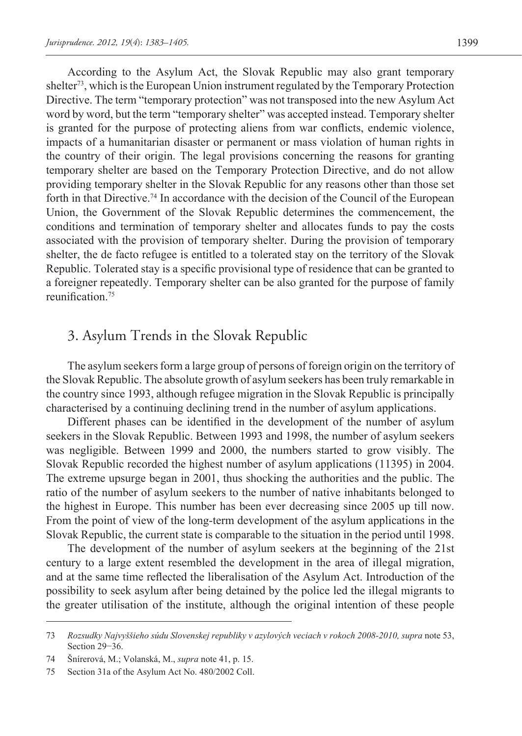According to the Asylum Act, the Slovak Republic may also grant temporary shelter<sup>73</sup>, which is the European Union instrument regulated by the Temporary Protection Directive. The term "temporary protection" was not transposed into the new Asylum Act word by word, but the term "temporary shelter" was accepted instead. Temporary shelter is granted for the purpose of protecting aliens from war conflicts, endemic violence, impacts of a humanitarian disaster or permanent or mass violation of human rights in the country of their origin. The legal provisions concerning the reasons for granting temporary shelter are based on the Temporary Protection Directive, and do not allow providing temporary shelter in the Slovak Republic for any reasons other than those set forth in that Directive.<sup>74</sup> In accordance with the decision of the Council of the European Union, the Government of the Slovak Republic determines the commencement, the conditions and termination of temporary shelter and allocates funds to pay the costs associated with the provision of temporary shelter. During the provision of temporary shelter, the de facto refugee is entitled to a tolerated stay on the territory of the Slovak Republic. Tolerated stay is a specific provisional type of residence that can be granted to a foreigner repeatedly. Temporary shelter can be also granted for the purpose of family reunification<sup>75</sup>

### 3. Asylum Trends in the Slovak Republic

The asylum seekers form a large group of persons of foreign origin on the territory of the Slovak Republic. The absolute growth of asylum seekers has been truly remarkable in the country since 1993, although refugee migration in the Slovak Republic is principally characterised by a continuing declining trend in the number of asylum applications.

Different phases can be identified in the development of the number of asylum seekers in the Slovak Republic. Between 1993 and 1998, the number of asylum seekers was negligible. Between 1999 and 2000, the numbers started to grow visibly. The Slovak Republic recorded the highest number of asylum applications (11395) in 2004. The extreme upsurge began in 2001, thus shocking the authorities and the public. The ratio of the number of asylum seekers to the number of native inhabitants belonged to the highest in Europe. This number has been ever decreasing since 2005 up till now. From the point of view of the long-term development of the asylum applications in the Slovak Republic, the current state is comparable to the situation in the period until 1998.

The development of the number of asylum seekers at the beginning of the 21st century to a large extent resembled the development in the area of illegal migration, and at the same time reflected the liberalisation of the Asylum Act. Introduction of the possibility to seek asylum after being detained by the police led the illegal migrants to the greater utilisation of the institute, although the original intention of these people

<sup>73</sup> *Rozsudky Najvyššieho súdu Slovenskej republiky v azylových veciach v rokoch 2008-2010, supra* note 53, Section 29−36.

<sup>74</sup> Šnírerová, M.; Volanská, M., *supra* note 41, p. 15.

<sup>75</sup> Section 31a of the Asylum Act No. 480/2002 Coll.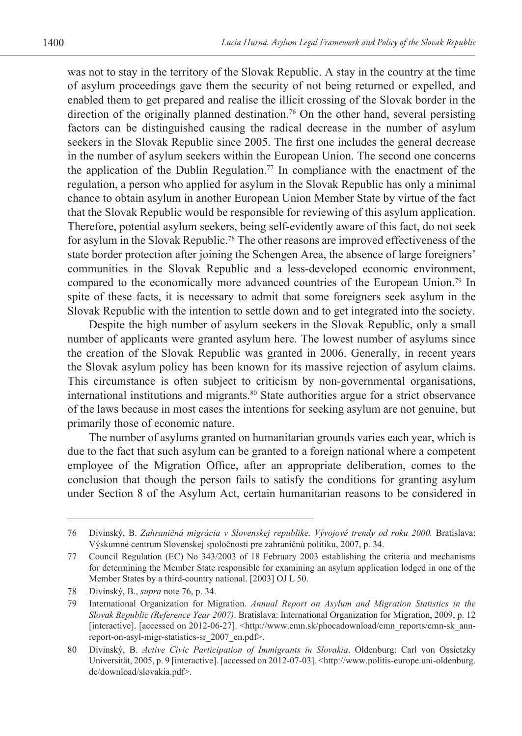was not to stay in the territory of the Slovak Republic. A stay in the country at the time of asylum proceedings gave them the security of not being returned or expelled, and enabled them to get prepared and realise the illicit crossing of the Slovak border in the direction of the originally planned destination.<sup>76</sup> On the other hand, several persisting factors can be distinguished causing the radical decrease in the number of asylum seekers in the Slovak Republic since 2005. The first one includes the general decrease in the number of asylum seekers within the European Union. The second one concerns the application of the Dublin Regulation.<sup>77</sup> In compliance with the enactment of the regulation, a person who applied for asylum in the Slovak Republic has only a minimal chance to obtain asylum in another European Union Member State by virtue of the fact that the Slovak Republic would be responsible for reviewing of this asylum application. Therefore, potential asylum seekers, being self-evidently aware of this fact, do not seek for asylum in the Slovak Republic.78 The other reasons are improved effectiveness of the state border protection after joining the Schengen Area, the absence of large foreigners' communities in the Slovak Republic and a less-developed economic environment, compared to the economically more advanced countries of the European Union.79 In spite of these facts, it is necessary to admit that some foreigners seek asylum in the Slovak Republic with the intention to settle down and to get integrated into the society.

Despite the high number of asylum seekers in the Slovak Republic, only a small number of applicants were granted asylum here. The lowest number of asylums since the creation of the Slovak Republic was granted in 2006. Generally, in recent years the Slovak asylum policy has been known for its massive rejection of asylum claims. This circumstance is often subject to criticism by non-governmental organisations, international institutions and migrants.<sup>80</sup> State authorities argue for a strict observance of the laws because in most cases the intentions for seeking asylum are not genuine, but primarily those of economic nature.

The number of asylums granted on humanitarian grounds varies each year, which is due to the fact that such asylum can be granted to a foreign national where a competent employee of the Migration Office, after an appropriate deliberation, comes to the conclusion that though the person fails to satisfy the conditions for granting asylum under Section 8 of the Asylum Act, certain humanitarian reasons to be considered in

<sup>76</sup> Divinský, B. *Zahraničná migrácia v Slovenskej republike. Vývojové trendy od roku 2000.* Bratislava: Výskumné centrum Slovenskej spoločnosti pre zahraničnú politiku, 2007, p. 34.

<sup>77</sup> Council Regulation (EC) No 343/2003 of 18 February 2003 establishing the criteria and mechanisms for determining the Member State responsible for examining an asylum application lodged in one of the Member States by a third-country national. [2003] OJ L 50.

<sup>78</sup> Divinský, B., *supra* note 76, p. 34.

<sup>79</sup> International Organization for Migration. *Annual Report on Asylum and Migration Statistics in the Slovak Republic (Reference Year 2007)*. Bratislava: International Organization for Migration, 2009, p. 12 [interactive]. [accessed on 2012-06-27]. <http://www.emn.sk/phocadownload/emn\_reports/emn-sk\_annreport-on-asyl-migr-statistics-sr\_2007\_en.pdf>.

<sup>80</sup> Divinský, B. *Active Civic Participation of Immigrants in Slovakia*. Oldenburg: Carl von Ossietzky Universität, 2005, p. 9 [interactive]. [accessed on 2012-07-03]. <http://www.politis-europe.uni-oldenburg. de/download/slovakia.pdf>.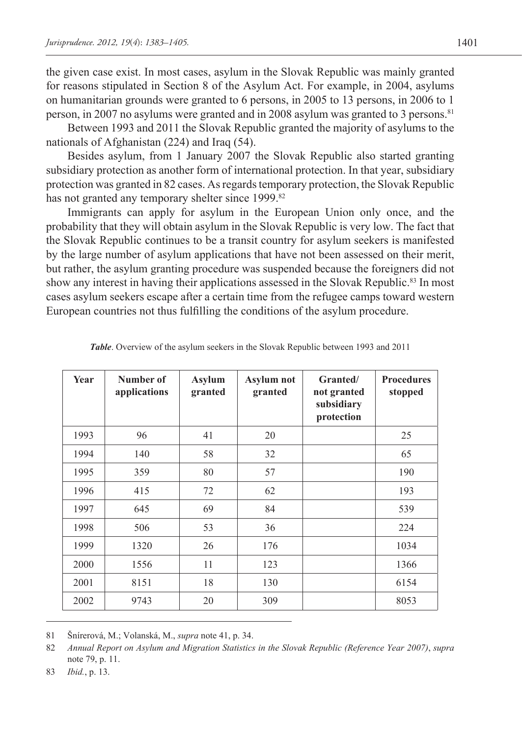the given case exist. In most cases, asylum in the Slovak Republic was mainly granted for reasons stipulated in Section 8 of the Asylum Act. For example, in 2004, asylums on humanitarian grounds were granted to 6 persons, in 2005 to 13 persons, in 2006 to 1 person, in 2007 no asylums were granted and in 2008 asylum was granted to 3 persons.81

Between 1993 and 2011 the Slovak Republic granted the majority of asylums to the nationals of Afghanistan (224) and Iraq (54).

Besides asylum, from 1 January 2007 the Slovak Republic also started granting subsidiary protection as another form of international protection. In that year, subsidiary protection was granted in 82 cases. As regards temporary protection, the Slovak Republic has not granted any temporary shelter since 1999.<sup>82</sup>

Immigrants can apply for asylum in the European Union only once, and the probability that they will obtain asylum in the Slovak Republic is very low. The fact that the Slovak Republic continues to be a transit country for asylum seekers is manifested by the large number of asylum applications that have not been assessed on their merit, but rather, the asylum granting procedure was suspended because the foreigners did not show any interest in having their applications assessed in the Slovak Republic.83 In most cases asylum seekers escape after a certain time from the refugee camps toward western European countries not thus fulfilling the conditions of the asylum procedure.

| Year | Number of<br>applications | <b>Asylum</b><br>granted | <b>Asylum</b> not<br>granted | Granted/<br>not granted<br>subsidiary<br>protection | <b>Procedures</b><br>stopped |
|------|---------------------------|--------------------------|------------------------------|-----------------------------------------------------|------------------------------|
| 1993 | 96                        | 41                       | 20                           |                                                     | 25                           |
| 1994 | 140                       | 58                       | 32                           |                                                     | 65                           |
| 1995 | 359                       | 80                       | 57                           |                                                     | 190                          |
| 1996 | 415                       | 72                       | 62                           |                                                     | 193                          |
| 1997 | 645                       | 69                       | 84                           |                                                     | 539                          |
| 1998 | 506                       | 53                       | 36                           |                                                     | 224                          |
| 1999 | 1320                      | 26                       | 176                          |                                                     | 1034                         |
| 2000 | 1556                      | 11                       | 123                          |                                                     | 1366                         |
| 2001 | 8151                      | 18                       | 130                          |                                                     | 6154                         |
| 2002 | 9743                      | 20                       | 309                          |                                                     | 8053                         |

*Table*. Overview of the asylum seekers in the Slovak Republic between 1993 and 2011

81 Šnírerová, M.; Volanská, M., *supra* note 41, p. 34.

82 *Annual Report on Asylum and Migration Statistics in the Slovak Republic (Reference Year 2007)*, *supra*  note 79, p. 11.

83 *Ibid.*, p. 13.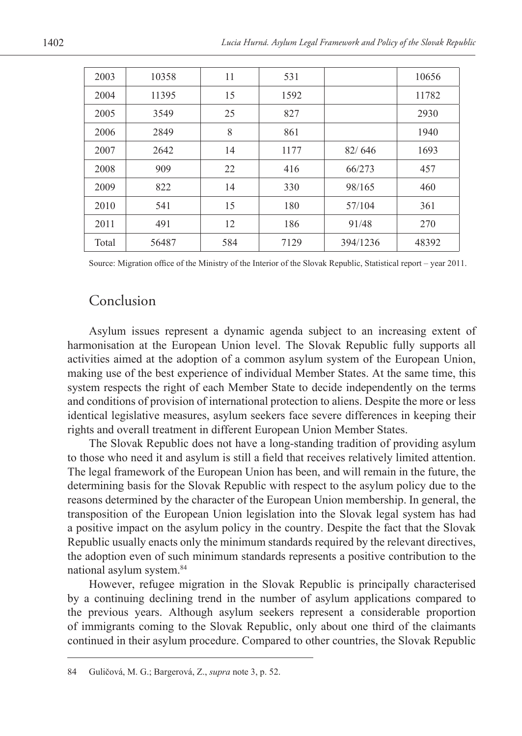| 2003  | 10358 | 11  | 531  |          | 10656 |
|-------|-------|-----|------|----------|-------|
| 2004  | 11395 | 15  | 1592 |          | 11782 |
| 2005  | 3549  | 25  | 827  |          | 2930  |
| 2006  | 2849  | 8   | 861  |          | 1940  |
| 2007  | 2642  | 14  | 1177 | 82/646   | 1693  |
| 2008  | 909   | 22  | 416  | 66/273   | 457   |
| 2009  | 822   | 14  | 330  | 98/165   | 460   |
| 2010  | 541   | 15  | 180  | 57/104   | 361   |
| 2011  | 491   | 12  | 186  | 91/48    | 270   |
| Total | 56487 | 584 | 7129 | 394/1236 | 48392 |

Source: Migration office of the Ministry of the Interior of the Slovak Republic, Statistical report – year 2011.

### Conclusion

Asylum issues represent a dynamic agenda subject to an increasing extent of harmonisation at the European Union level. The Slovak Republic fully supports all activities aimed at the adoption of a common asylum system of the European Union, making use of the best experience of individual Member States. At the same time, this system respects the right of each Member State to decide independently on the terms and conditions of provision of international protection to aliens. Despite the more or less identical legislative measures, asylum seekers face severe differences in keeping their rights and overall treatment in different European Union Member States.

The Slovak Republic does not have a long-standing tradition of providing asylum to those who need it and asylum is still a field that receives relatively limited attention. The legal framework of the European Union has been, and will remain in the future, the determining basis for the Slovak Republic with respect to the asylum policy due to the reasons determined by the character of the European Union membership. In general, the transposition of the European Union legislation into the Slovak legal system has had a positive impact on the asylum policy in the country. Despite the fact that the Slovak Republic usually enacts only the minimum standards required by the relevant directives, the adoption even of such minimum standards represents a positive contribution to the national asylum system.84

However, refugee migration in the Slovak Republic is principally characterised by a continuing declining trend in the number of asylum applications compared to the previous years. Although asylum seekers represent a considerable proportion of immigrants coming to the Slovak Republic, only about one third of the claimants continued in their asylum procedure. Compared to other countries, the Slovak Republic

<sup>84</sup> Guličová, M. G.; Bargerová, Z., *supra* note 3, p. 52.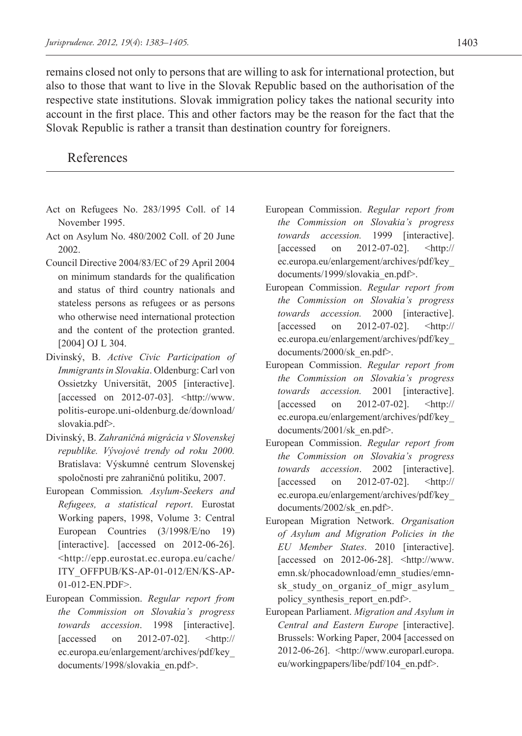remains closed not only to persons that are willing to ask for international protection, but also to those that want to live in the Slovak Republic based on the authorisation of the respective state institutions. Slovak immigration policy takes the national security into account in the first place. This and other factors may be the reason for the fact that the Slovak Republic is rather a transit than destination country for foreigners.

#### References

- Act on Refugees No. 283/1995 Coll. of 14 November 1995.
- Act on Asylum No. 480/2002 Coll. of 20 June 2002.
- Council Directive 2004/83/EC of 29 April 2004 on minimum standards for the qualification and status of third country nationals and stateless persons as refugees or as persons who otherwise need international protection and the content of the protection granted. [2004] OJ L 304.
- Divinský, B. *Active Civic Participation of Immigrants in Slovakia*. Oldenburg: Carl von Ossietzky Universität, 2005 [interactive]. [accessed on 2012-07-03]. <http://www. politis-europe.uni-oldenburg.de/download/ slovakia.pdf>.
- Divinský, B. *Zahraničná migrácia v Slovenskej republike. Vývojové trendy od roku 2000.* Bratislava: Výskumné centrum Slovenskej spoločnosti pre zahraničnú politiku, 2007.
- European Commission*. Asylum-Seekers and Refugees, a statistical report*. Eurostat Working papers, 1998, Volume 3: Central European Countries (3/1998/E/no 19) [interactive]. [accessed on 2012-06-26]. <http://epp.eurostat.ec.europa.eu/cache/ ITY\_OFFPUB/KS-AP-01-012/EN/KS-AP-01-012-EN.PDF>.
- European Commission. *Regular report from the Commission on Slovakia's progress towards accession*. 1998 [interactive]. [accessed on 2012-07-02]. <http:// ec.europa.eu/enlargement/archives/pdf/key\_ documents/1998/slovakia\_en.pdf>.
- European Commission. *Regular report from the Commission on Slovakia's progress towards accession.* 1999 [interactive]. [accessed on 2012-07-02]. <http:// ec.europa.eu/enlargement/archives/pdf/key\_ documents/1999/slovakia\_en.pdf>.
- European Commission. *Regular report from the Commission on Slovakia's progress towards accession.* 2000 [interactive]. [accessed on 2012-07-02]. <http:// ec.europa.eu/enlargement/archives/pdf/key\_ documents/2000/sk\_en.pdf>.
- European Commission. *Regular report from the Commission on Slovakia's progress towards accession.* 2001 [interactive]. [accessed on 2012-07-02]. <http:// ec.europa.eu/enlargement/archives/pdf/key\_ documents/2001/sk\_en.pdf>.
- European Commission. *Regular report from the Commission on Slovakia's progress towards accession*. 2002 [interactive]. [accessed on 2012-07-02]. <http:// ec.europa.eu/enlargement/archives/pdf/key\_ documents/2002/sk\_en.pdf>.
- European Migration Network. *Organisation of Asylum and Migration Policies in the EU Member States*. 2010 [interactive]. [accessed on 2012-06-28]. <http://www. emn.sk/phocadownload/emn\_studies/emnsk study on organiz of migr asylum policy synthesis report en.pdf>.
- European Parliament. *Migration and Asylum in Central and Eastern Europe* [interactive]. Brussels: Working Paper, 2004 [accessed on 2012-06-26]. <http://www.europarl.europa. eu/workingpapers/libe/pdf/104\_en.pdf>.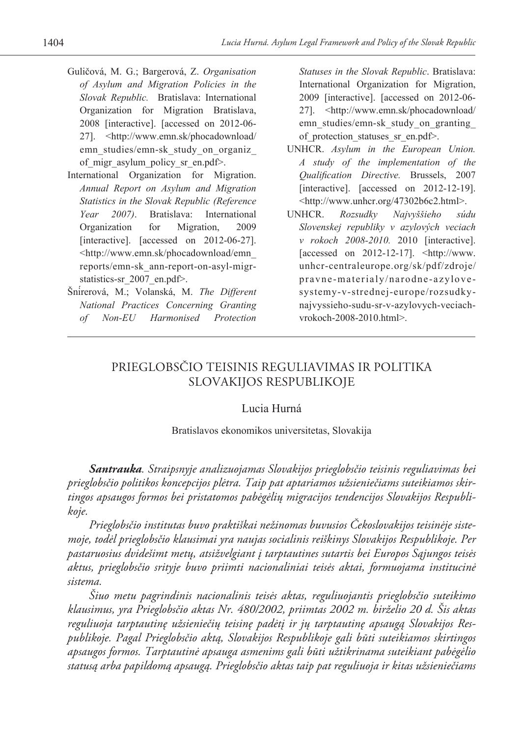- Guličová, M. G.; Bargerová, Z. *Organisation of Asylum and Migration Policies in the Slovak Republic.* Bratislava: International Organization for Migration Bratislava, 2008 [interactive]. [accessed on 2012-06- 27]. <http://www.emn.sk/phocadownload/ emn\_studies/emn-sk\_study\_on\_organiz of migr asylum policy sr en.pdf>.
- International Organization for Migration. *Annual Report on Asylum and Migration Statistics in the Slovak Republic (Reference Year 2007)*. Bratislava: International Organization for Migration, 2009 [interactive]. [accessed on 2012-06-27]. <http://www.emn.sk/phocadownload/emn\_ reports/emn-sk\_ann-report-on-asyl-migrstatistics-sr\_2007\_en.pdf>.
- Šnírerová, M.; Volanská, M. *The Different National Practices Concerning Granting of Non-EU Harmonised Protection*

*Statuses in the Slovak Republic*. Bratislava: International Organization for Migration, 2009 [interactive]. [accessed on 2012-06- 27]. <http://www.emn.sk/phocadownload/ emn\_studies/emn-sk\_study\_on\_granting of protection statuses sr\_en.pdf>.

- UNHCR. *Asylum in the European Union. A study of the implementation of the Qualification Directive.* Brussels, 2007 [interactive]. [accessed on 2012-12-19]. <http://www.unhcr.org/47302b6c2.html>.
- UNHCR. *Rozsudky Najvyššieho súdu Slovenskej republiky v azylových veciach v rokoch 2008-2010.* 2010 [interactive]. [accessed on 2012-12-17]. <http://www. unhcr-centraleurope.org/sk/pdf/zdroje/ pravne-materialy/narodne-azylovesystemy-v-strednej-europe/rozsudkynajvyssieho-sudu-sr-v-azylovych-veciachvrokoch-2008-2010.html>.

### Prieglobsčio teisinis reguliavimas ir politika Slovakijos Respublikoje

#### Lucia Hurná

#### Bratislavos ekonomikos universitetas, Slovakija

*Santrauka. Straipsnyje analizuojamas Slovakijos prieglobsčio teisinis reguliavimas bei prieglobsčio politikos koncepcijos plėtra. Taip pat aptariamos užsieniečiams suteikiamos skirtingos apsaugos formos bei pristatomos pabėgėlių migracijos tendencijos Slovakijos Respublikoje.*

*Prieglobsčio institutas buvo praktiškai nežinomas buvusios Čekoslovakijos teisinėje sistemoje, todėl prieglobsčio klausimai yra naujas socialinis reiškinys Slovakijos Respublikoje. Per pastaruosius dvidešimt metų, atsižvelgiant į tarptautines sutartis bei Europos Sąjungos teisės aktus, prieglobsčio srityje buvo priimti nacionaliniai teisės aktai, formuojama institucinė sistema.*

*Šiuo metu pagrindinis nacionalinis teisės aktas, reguliuojantis prieglobsčio suteikimo klausimus, yra Prieglobsčio aktas Nr. 480/2002, priimtas 2002 m. birželio 20 d. Šis aktas reguliuoja tarptautinę užsieniečių teisinę padėtį ir jų tarptautinę apsaugą Slovakijos Respublikoje. Pagal Prieglobsčio aktą, Slovakijos Respublikoje gali būti suteikiamos skirtingos apsaugos formos. Tarptautinė apsauga asmenims gali būti užtikrinama suteikiant pabėgėlio statusą arba papildomą apsaugą. Prieglobsčio aktas taip pat reguliuoja ir kitas užsieniečiams*